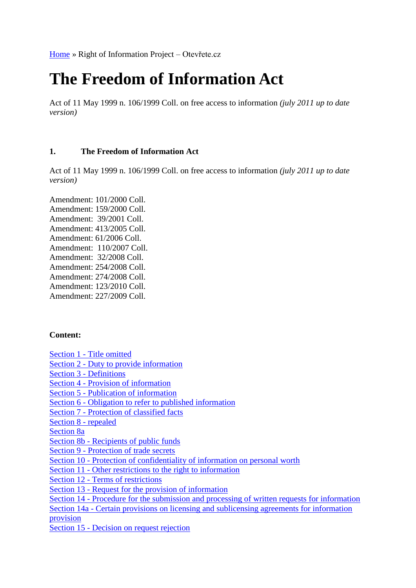# **The Freedom of Information Act**

Act of 11 May 1999 n. 106/1999 Coll. on free access to information *(july 2011 up to date version)*

## **1. The Freedom of Information Act**

Act of 11 May 1999 n. 106/1999 Coll. on free access to information *(july 2011 up to date version)*

Amendment: 101/2000 Coll. Amendment: 159/2000 Coll. Amendment: 39/2001 Coll. Amendment: 413/2005 Coll. Amendment: 61/2006 Coll. Amendment: 110/2007 Coll. Amendment: 32/2008 Coll. Amendment: 254/2008 Coll. Amendment: 274/2008 Coll. Amendment: 123/2010 Coll. Amendment: 227/2009 Coll.

## **Content:**

Section 1 - [Title omitted](http://www.otevrete.cz/index.php?akce=clanek&id=673#1) Section 2 - [Duty to provide information](http://www.otevrete.cz/index.php?akce=clanek&id=673#2) Section 3 - [Definitions](http://www.otevrete.cz/index.php?akce=clanek&id=673#3) Section 4 - [Provision of information](http://www.otevrete.cz/index.php?akce=clanek&id=673#4) Section 5 - [Publication of information](http://www.otevrete.cz/index.php?akce=clanek&id=673#5) Section 6 - [Obligation to refer to published information](http://www.otevrete.cz/index.php?akce=clanek&id=673#6) Section 7 - [Protection of classified facts](http://www.otevrete.cz/index.php?akce=clanek&id=673#7) [Section 8 -](http://www.otevrete.cz/index.php?akce=clanek&id=673#8) repealed [Section 8a](http://www.otevrete.cz/index.php?akce=clanek&id=673#8a) Section 8b - [Recipients of public funds](http://www.otevrete.cz/index.php?akce=clanek&id=673#8b) Section 9 - [Protection of trade secrets](http://www.otevrete.cz/index.php?akce=clanek&id=673#9) Section 10 - [Protection of confidentiality of information on personal worth](http://www.otevrete.cz/index.php?akce=clanek&id=673#10) Section 11 - [Other restrictions to the right to information](http://www.otevrete.cz/index.php?akce=clanek&id=673#11) Section 12 - [Terms of restrictions](http://www.otevrete.cz/index.php?akce=clanek&id=673#12) Section 13 - [Request for the provision of information](http://www.otevrete.cz/index.php?akce=clanek&id=673#13) Section 14 - [Procedure for the submission and processing of written requests for information](http://www.otevrete.cz/index.php?akce=clanek&id=673#14) Section 14a - [Certain provisions on licensing and sublicensing agreements for information](http://www.otevrete.cz/index.php?akce=clanek&id=673#14a)  [provision](http://www.otevrete.cz/index.php?akce=clanek&id=673#14a) Section 15 - [Decision on request rejection](http://www.otevrete.cz/index.php?akce=clanek&id=673#15)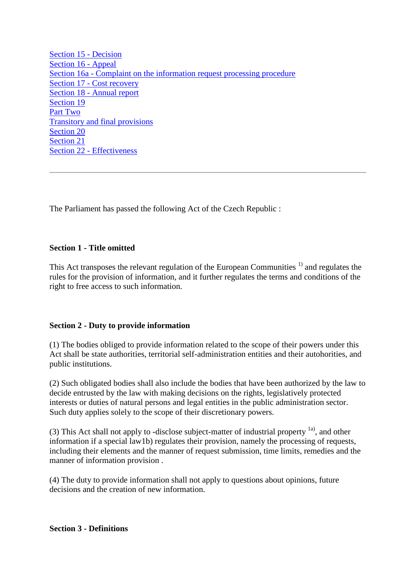[Section 15 -](http://www.otevrete.cz/index.php?akce=clanek&id=673#15) Decision [Section 16 -](http://www.otevrete.cz/index.php?akce=clanek&id=673#16) Appeal Section 16a - [Complaint on the information request processing procedure](http://www.otevrete.cz/index.php?akce=clanek&id=673#16a) Section 17 - [Cost recovery](http://www.otevrete.cz/index.php?akce=clanek&id=673#17) Section 18 - [Annual report](http://www.otevrete.cz/index.php?akce=clanek&id=673#18) [Section 19](http://www.otevrete.cz/index.php?akce=clanek&id=673#19) [Part Two](http://www.otevrete.cz/index.php?akce=clanek&id=673#II) [Transitory and final provisions](http://www.otevrete.cz/index.php?akce=clanek&id=673#II) [Section 20](http://www.otevrete.cz/index.php?akce=clanek&id=673#20) [Section 21](http://www.otevrete.cz/index.php?akce=clanek&id=673#21) Section 22 - [Effectiveness](http://www.otevrete.cz/index.php?akce=clanek&id=673#22)

The Parliament has passed the following Act of the Czech Republic :

## **Section 1 - Title omitted**

This Act transposes the relevant regulation of the European Communities<sup> $1)$ </sup> and regulates the rules for the provision of information, and it further regulates the terms and conditions of the right to free access to such information.

## **Section 2 - Duty to provide information**

(1) The bodies obliged to provide information related to the scope of their powers under this Act shall be state authorities, territorial self-administration entities and their autohorities, and public institutions.

(2) Such obligated bodies shall also include the bodies that have been authorized by the law to decide entrusted by the law with making decisions on the rights, legislatively protected interests or duties of natural persons and legal entities in the public administration sector. Such duty applies solely to the scope of their discretionary powers.

(3) This Act shall not apply to -disclose subject-matter of industrial property  $\frac{1}{a}$ , and other information if a special law1b) regulates their provision, namely the processing of requests, including their elements and the manner of request submission, time limits, remedies and the manner of information provision .

(4) The duty to provide information shall not apply to questions about opinions, future decisions and the creation of new information.

## **Section 3 - Definitions**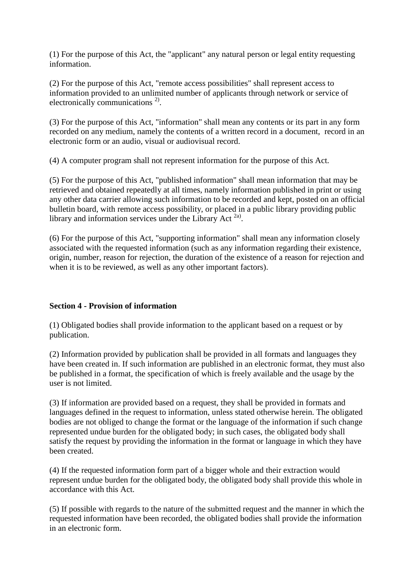(1) For the purpose of this Act, the "applicant" any natural person or legal entity requesting information.

(2) For the purpose of this Act, "remote access possibilities" shall represent access to information provided to an unlimited number of applicants through network or service of electronically communications<sup>2</sup>.

(3) For the purpose of this Act, "information" shall mean any contents or its part in any form recorded on any medium, namely the contents of a written record in a document, record in an electronic form or an audio, visual or audiovisual record.

(4) A computer program shall not represent information for the purpose of this Act.

(5) For the purpose of this Act, "published information" shall mean information that may be retrieved and obtained repeatedly at all times, namely information published in print or using any other data carrier allowing such information to be recorded and kept, posted on an official bulletin board, with remote access possibility, or placed in a public library providing public library and information services under the Library Act  $2a$ ).

(6) For the purpose of this Act, "supporting information" shall mean any information closely associated with the requested information (such as any information regarding their existence, origin, number, reason for rejection, the duration of the existence of a reason for rejection and when it is to be reviewed, as well as any other important factors).

## **Section 4 - Provision of information**

(1) Obligated bodies shall provide information to the applicant based on a request or by publication.

(2) Information provided by publication shall be provided in all formats and languages they have been created in. If such information are published in an electronic format, they must also be published in a format, the specification of which is freely available and the usage by the user is not limited.

(3) If information are provided based on a request, they shall be provided in formats and languages defined in the request to information, unless stated otherwise herein. The obligated bodies are not obliged to change the format or the language of the information if such change represented undue burden for the obligated body; in such cases, the obligated body shall satisfy the request by providing the information in the format or language in which they have been created.

(4) If the requested information form part of a bigger whole and their extraction would represent undue burden for the obligated body, the obligated body shall provide this whole in accordance with this Act.

(5) If possible with regards to the nature of the submitted request and the manner in which the requested information have been recorded, the obligated bodies shall provide the information in an electronic form.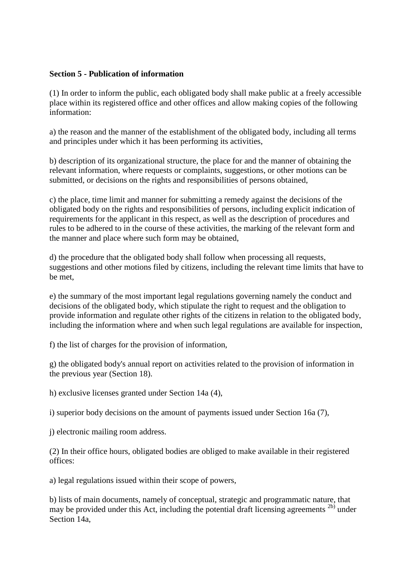## **Section 5 - Publication of information**

(1) In order to inform the public, each obligated body shall make public at a freely accessible place within its registered office and other offices and allow making copies of the following information:

a) the reason and the manner of the establishment of the obligated body, including all terms and principles under which it has been performing its activities,

b) description of its organizational structure, the place for and the manner of obtaining the relevant information, where requests or complaints, suggestions, or other motions can be submitted, or decisions on the rights and responsibilities of persons obtained,

c) the place, time limit and manner for submitting a remedy against the decisions of the obligated body on the rights and responsibilities of persons, including explicit indication of requirements for the applicant in this respect, as well as the description of procedures and rules to be adhered to in the course of these activities, the marking of the relevant form and the manner and place where such form may be obtained,

d) the procedure that the obligated body shall follow when processing all requests, suggestions and other motions filed by citizens, including the relevant time limits that have to be met,

e) the summary of the most important legal regulations governing namely the conduct and decisions of the obligated body, which stipulate the right to request and the obligation to provide information and regulate other rights of the citizens in relation to the obligated body, including the information where and when such legal regulations are available for inspection,

f) the list of charges for the provision of information,

g) the obligated body's annual report on activities related to the provision of information in the previous year (Section 18).

h) exclusive licenses granted under Section 14a (4),

i) superior body decisions on the amount of payments issued under Section 16a (7),

j) electronic mailing room address.

(2) In their office hours, obligated bodies are obliged to make available in their registered offices:

a) legal regulations issued within their scope of powers,

b) lists of main documents, namely of conceptual, strategic and programmatic nature, that may be provided under this Act, including the potential draft licensing agreements  $^{2b}$  under Section 14a,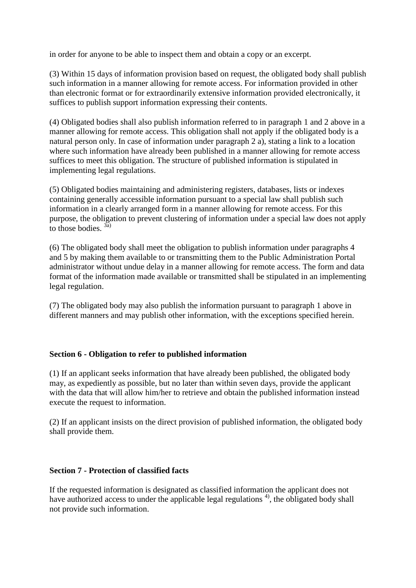in order for anyone to be able to inspect them and obtain a copy or an excerpt.

(3) Within 15 days of information provision based on request, the obligated body shall publish such information in a manner allowing for remote access. For information provided in other than electronic format or for extraordinarily extensive information provided electronically, it suffices to publish support information expressing their contents.

(4) Obligated bodies shall also publish information referred to in paragraph 1 and 2 above in a manner allowing for remote access. This obligation shall not apply if the obligated body is a natural person only. In case of information under paragraph 2 a), stating a link to a location where such information have already been published in a manner allowing for remote access suffices to meet this obligation. The structure of published information is stipulated in implementing legal regulations.

(5) Obligated bodies maintaining and administering registers, databases, lists or indexes containing generally accessible information pursuant to a special law shall publish such information in a clearly arranged form in a manner allowing for remote access. For this purpose, the obligation to prevent clustering of information under a special law does not apply to those bodies.  $3a$ 

(6) The obligated body shall meet the obligation to publish information under paragraphs 4 and 5 by making them available to or transmitting them to the Public Administration Portal administrator without undue delay in a manner allowing for remote access. The form and data format of the information made available or transmitted shall be stipulated in an implementing legal regulation.

(7) The obligated body may also publish the information pursuant to paragraph 1 above in different manners and may publish other information, with the exceptions specified herein.

## **Section 6 - Obligation to refer to published information**

(1) If an applicant seeks information that have already been published, the obligated body may, as expediently as possible, but no later than within seven days, provide the applicant with the data that will allow him/her to retrieve and obtain the published information instead execute the request to information.

(2) If an applicant insists on the direct provision of published information, the obligated body shall provide them.

## **Section 7 - Protection of classified facts**

If the requested information is designated as classified information the applicant does not have authorized access to under the applicable legal regulations  $\frac{4}{3}$ , the obligated body shall not provide such information.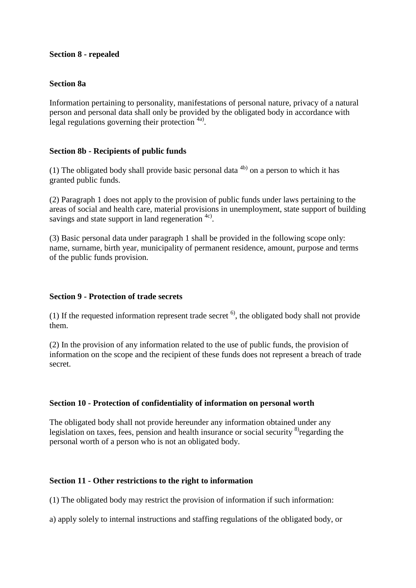## **Section 8 - repealed**

## **Section 8a**

Information pertaining to personality, manifestations of personal nature, privacy of a natural person and personal data shall only be provided by the obligated body in accordance with legal regulations governing their protection <sup>4a)</sup>.

## **Section 8b - Recipients of public funds**

(1) The obligated body shall provide basic personal data  $4<sup>b</sup>$  on a person to which it has granted public funds.

(2) Paragraph 1 does not apply to the provision of public funds under laws pertaining to the areas of social and health care, material provisions in unemployment, state support of building savings and state support in land regeneration  $4c$ .

(3) Basic personal data under paragraph 1 shall be provided in the following scope only: name, surname, birth year, municipality of permanent residence, amount, purpose and terms of the public funds provision.

## **Section 9 - Protection of trade secrets**

(1) If the requested information represent trade secret  $\delta$ , the obligated body shall not provide them.

(2) In the provision of any information related to the use of public funds, the provision of information on the scope and the recipient of these funds does not represent a breach of trade secret.

## **Section 10 - Protection of confidentiality of information on personal worth**

The obligated body shall not provide hereunder any information obtained under any legislation on taxes, fees, pension and health insurance or social security  $\delta$  regarding the personal worth of a person who is not an obligated body.

## **Section 11 - Other restrictions to the right to information**

(1) The obligated body may restrict the provision of information if such information:

a) apply solely to internal instructions and staffing regulations of the obligated body, or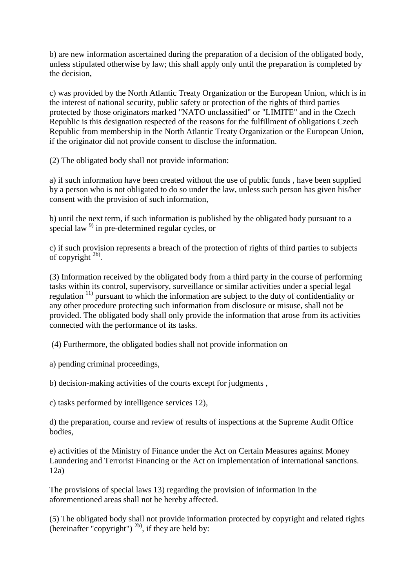b) are new information ascertained during the preparation of a decision of the obligated body, unless stipulated otherwise by law; this shall apply only until the preparation is completed by the decision,

c) was provided by the North Atlantic Treaty Organization or the European Union, which is in the interest of national security, public safety or protection of the rights of third parties protected by those originators marked "NATO unclassified" or "LIMITE" and in the Czech Republic is this designation respected of the reasons for the fulfillment of obligations Czech Republic from membership in the North Atlantic Treaty Organization or the European Union, if the originator did not provide consent to disclose the information.

(2) The obligated body shall not provide information:

a) if such information have been created without the use of public funds , have been supplied by a person who is not obligated to do so under the law, unless such person has given his/her consent with the provision of such information,

b) until the next term, if such information is published by the obligated body pursuant to a special law <sup>9)</sup> in pre-determined regular cycles, or

c) if such provision represents a breach of the protection of rights of third parties to subjects of copyright  $^{2b}$ .

(3) Information received by the obligated body from a third party in the course of performing tasks within its control, supervisory, surveillance or similar activities under a special legal regulation 11) pursuant to which the information are subject to the duty of confidentiality or any other procedure protecting such information from disclosure or misuse, shall not be provided. The obligated body shall only provide the information that arose from its activities connected with the performance of its tasks.

(4) Furthermore, the obligated bodies shall not provide information on

a) pending criminal proceedings,

b) decision-making activities of the courts except for judgments ,

c) tasks performed by intelligence services 12),

d) the preparation, course and review of results of inspections at the Supreme Audit Office bodies,

e) activities of the Ministry of Finance under the Act on Certain Measures against Money Laundering and Terrorist Financing or the Act on implementation of international sanctions. 12a)

The provisions of special laws 13) regarding the provision of information in the aforementioned areas shall not be hereby affected.

(5) The obligated body shall not provide information protected by copyright and related rights (hereinafter "copyright")  $^{2b}$ , if they are held by: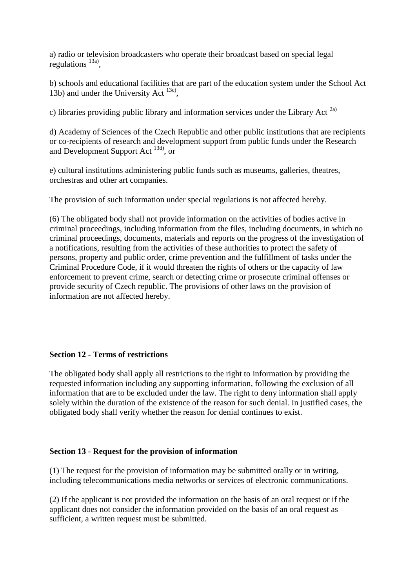a) radio or television broadcasters who operate their broadcast based on special legal regulations  $^{13a}$ ,

b) schools and educational facilities that are part of the education system under the School Act 13b) and under the University Act  $^{13c}$ ,

c) libraries providing public library and information services under the Library Act  $^{2a}$ 

d) Academy of Sciences of the Czech Republic and other public institutions that are recipients or co-recipients of research and development support from public funds under the Research and Development Support Act 13d), or

e) cultural institutions administering public funds such as museums, galleries, theatres, orchestras and other art companies.

The provision of such information under special regulations is not affected hereby.

(6) The obligated body shall not provide information on the activities of bodies active in criminal proceedings, including information from the files, including documents, in which no criminal proceedings, documents, materials and reports on the progress of the investigation of a notifications, resulting from the activities of these authorities to protect the safety of persons, property and public order, crime prevention and the fulfillment of tasks under the Criminal Procedure Code, if it would threaten the rights of others or the capacity of law enforcement to prevent crime, search or detecting crime or prosecute criminal offenses or provide security of Czech republic. The provisions of other laws on the provision of information are not affected hereby.

## **Section 12 - Terms of restrictions**

The obligated body shall apply all restrictions to the right to information by providing the requested information including any supporting information, following the exclusion of all information that are to be excluded under the law. The right to deny information shall apply solely within the duration of the existence of the reason for such denial. In justified cases, the obligated body shall verify whether the reason for denial continues to exist.

## **Section 13 - Request for the provision of information**

(1) The request for the provision of information may be submitted orally or in writing, including telecommunications media networks or services of electronic communications.

(2) If the applicant is not provided the information on the basis of an oral request or if the applicant does not consider the information provided on the basis of an oral request as sufficient, a written request must be submitted.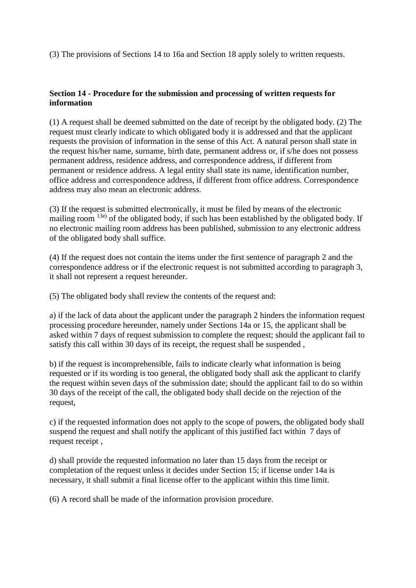(3) The provisions of Sections 14 to 16a and Section 18 apply solely to written requests.

# **Section 14 - Procedure for the submission and processing of written requests for information**

(1) A request shall be deemed submitted on the date of receipt by the obligated body. (2) The request must clearly indicate to which obligated body it is addressed and that the applicant requests the provision of information in the sense of this Act. A natural person shall state in the request his/her name, surname, birth date, permanent address or, if s/he does not possess permanent address, residence address, and correspondence address, if different from permanent or residence address. A legal entity shall state its name, identification number, office address and correspondence address, if different from office address. Correspondence address may also mean an electronic address.

(3) If the request is submitted electronically, it must be filed by means of the electronic mailing room <sup>13e)</sup> of the obligated body, if such has been established by the obligated body. If no electronic mailing room address has been published, submission to any electronic address of the obligated body shall suffice.

(4) If the request does not contain the items under the first sentence of paragraph 2 and the correspondence address or if the electronic request is not submitted according to paragraph 3, it shall not represent a request hereunder.

(5) The obligated body shall review the contents of the request and:

a) if the lack of data about the applicant under the paragraph 2 hinders the information request processing procedure hereunder, namely under Sections 14a or 15, the applicant shall be asked within 7 days of request submission to complete the request; should the applicant fail to satisfy this call within 30 days of its receipt, the request shall be suspended ,

b) if the request is incomprehensible, fails to indicate clearly what information is being requested or if its wording is too general, the obligated body shall ask the applicant to clarify the request within seven days of the submission date; should the applicant fail to do so within 30 days of the receipt of the call, the obligated body shall decide on the rejection of the request,

c) if the requested information does not apply to the scope of powers, the obligated body shall suspend the request and shall notify the applicant of this justified fact within 7 days of request receipt ,

d) shall provide the requested information no later than 15 days from the receipt or completation of the request unless it decides under Section 15; if license under 14a is necessary, it shall submit a final license offer to the applicant within this time limit.

(6) A record shall be made of the information provision procedure.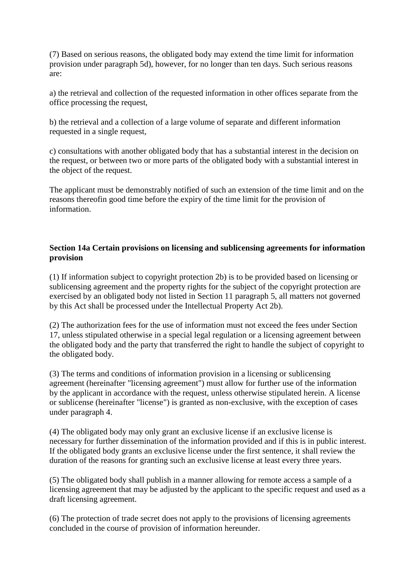(7) Based on serious reasons, the obligated body may extend the time limit for information provision under paragraph 5d), however, for no longer than ten days. Such serious reasons are:

a) the retrieval and collection of the requested information in other offices separate from the office processing the request,

b) the retrieval and a collection of a large volume of separate and different information requested in a single request,

c) consultations with another obligated body that has a substantial interest in the decision on the request, or between two or more parts of the obligated body with a substantial interest in the object of the request.

The applicant must be demonstrably notified of such an extension of the time limit and on the reasons thereofin good time before the expiry of the time limit for the provision of information.

## **Section 14a Certain provisions on licensing and sublicensing agreements for information provision**

(1) If information subject to copyright protection 2b) is to be provided based on licensing or sublicensing agreement and the property rights for the subject of the copyright protection are exercised by an obligated body not listed in Section 11 paragraph 5, all matters not governed by this Act shall be processed under the Intellectual Property Act 2b).

(2) The authorization fees for the use of information must not exceed the fees under Section 17, unless stipulated otherwise in a special legal regulation or a licensing agreement between the obligated body and the party that transferred the right to handle the subject of copyright to the obligated body.

(3) The terms and conditions of information provision in a licensing or sublicensing agreement (hereinafter "licensing agreement") must allow for further use of the information by the applicant in accordance with the request, unless otherwise stipulated herein. A license or sublicense (hereinafter "license") is granted as non-exclusive, with the exception of cases under paragraph 4.

(4) The obligated body may only grant an exclusive license if an exclusive license is necessary for further dissemination of the information provided and if this is in public interest. If the obligated body grants an exclusive license under the first sentence, it shall review the duration of the reasons for granting such an exclusive license at least every three years.

(5) The obligated body shall publish in a manner allowing for remote access a sample of a licensing agreement that may be adjusted by the applicant to the specific request and used as a draft licensing agreement.

(6) The protection of trade secret does not apply to the provisions of licensing agreements concluded in the course of provision of information hereunder.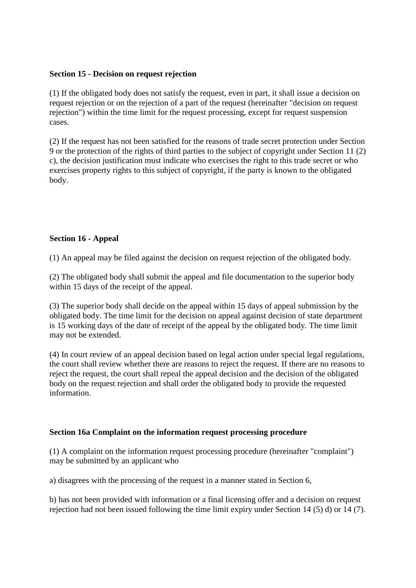## **Section 15 - Decision on request rejection**

(1) If the obligated body does not satisfy the request, even in part, it shall issue a decision on request rejection or on the rejection of a part of the request (hereinafter "decision on request rejection") within the time limit for the request processing, except for request suspension cases.

(2) If the request has not been satisfied for the reasons of trade secret protection under Section 9 or the protection of the rights of third parties to the subject of copyright under Section 11 (2) c), the decision justification must indicate who exercises the right to this trade secret or who exercises property rights to this subject of copyright, if the party is known to the obligated body.

## **Section 16 - Appeal**

(1) An appeal may be filed against the decision on request rejection of the obligated body.

(2) The obligated body shall submit the appeal and file documentation to the superior body within 15 days of the receipt of the appeal.

(3) The superior body shall decide on the appeal within 15 days of appeal submission by the obligated body. The time limit for the decision on appeal against decision of state department is 15 working days of the date of receipt of the appeal by the obligated body. The time limit may not be extended.

(4) In court review of an appeal decision based on legal action under special legal regulations, the court shall review whether there are reasons to reject the request. If there are no reasons to reject the request, the court shall repeal the appeal decision and the decision of the obligated body on the request rejection and shall order the obligated body to provide the requested information.

## **Section 16a Complaint on the information request processing procedure**

(1) A complaint on the information request processing procedure (hereinafter "complaint") may be submitted by an applicant who

a) disagrees with the processing of the request in a manner stated in Section 6,

b) has not been provided with information or a final licensing offer and a decision on request rejection had not been issued following the time limit expiry under Section 14 (5) d) or 14 (7).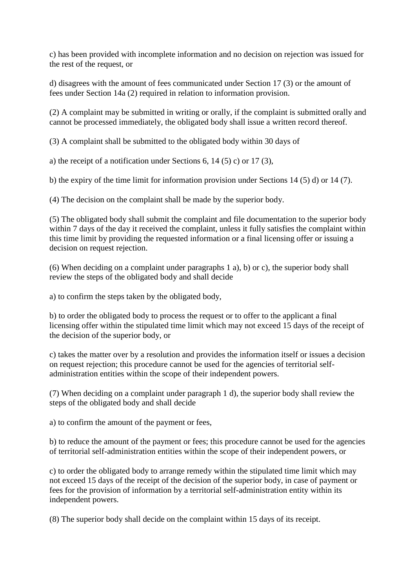c) has been provided with incomplete information and no decision on rejection was issued for the rest of the request, or

d) disagrees with the amount of fees communicated under Section 17 (3) or the amount of fees under Section 14a (2) required in relation to information provision.

(2) A complaint may be submitted in writing or orally, if the complaint is submitted orally and cannot be processed immediately, the obligated body shall issue a written record thereof.

(3) A complaint shall be submitted to the obligated body within 30 days of

a) the receipt of a notification under Sections 6, 14 (5) c) or 17 (3),

b) the expiry of the time limit for information provision under Sections 14 (5) d) or 14 (7).

(4) The decision on the complaint shall be made by the superior body.

(5) The obligated body shall submit the complaint and file documentation to the superior body within 7 days of the day it received the complaint, unless it fully satisfies the complaint within this time limit by providing the requested information or a final licensing offer or issuing a decision on request rejection.

(6) When deciding on a complaint under paragraphs 1 a), b) or c), the superior body shall review the steps of the obligated body and shall decide

a) to confirm the steps taken by the obligated body,

b) to order the obligated body to process the request or to offer to the applicant a final licensing offer within the stipulated time limit which may not exceed 15 days of the receipt of the decision of the superior body, or

c) takes the matter over by a resolution and provides the information itself or issues a decision on request rejection; this procedure cannot be used for the agencies of territorial selfadministration entities within the scope of their independent powers.

(7) When deciding on a complaint under paragraph 1 d), the superior body shall review the steps of the obligated body and shall decide

a) to confirm the amount of the payment or fees,

b) to reduce the amount of the payment or fees; this procedure cannot be used for the agencies of territorial self-administration entities within the scope of their independent powers, or

c) to order the obligated body to arrange remedy within the stipulated time limit which may not exceed 15 days of the receipt of the decision of the superior body, in case of payment or fees for the provision of information by a territorial self-administration entity within its independent powers.

(8) The superior body shall decide on the complaint within 15 days of its receipt.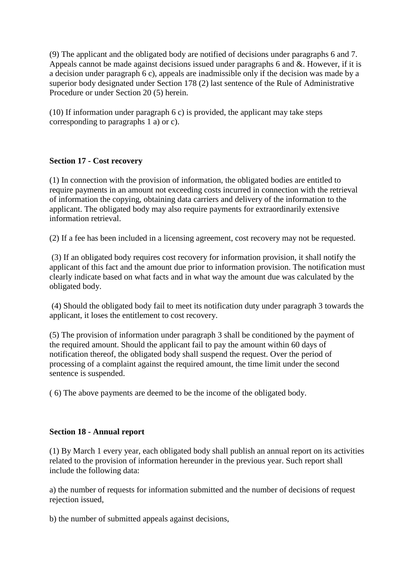(9) The applicant and the obligated body are notified of decisions under paragraphs 6 and 7. Appeals cannot be made against decisions issued under paragraphs 6 and &. However, if it is a decision under paragraph 6 c), appeals are inadmissible only if the decision was made by a superior body designated under Section 178 (2) last sentence of the Rule of Administrative Procedure or under Section 20 (5) herein.

(10) If information under paragraph 6 c) is provided, the applicant may take steps corresponding to paragraphs 1 a) or c).

## **Section 17 - Cost recovery**

(1) In connection with the provision of information, the obligated bodies are entitled to require payments in an amount not exceeding costs incurred in connection with the retrieval of information the copying, obtaining data carriers and delivery of the information to the applicant. The obligated body may also require payments for extraordinarily extensive information retrieval.

(2) If a fee has been included in a licensing agreement, cost recovery may not be requested.

(3) If an obligated body requires cost recovery for information provision, it shall notify the applicant of this fact and the amount due prior to information provision. The notification must clearly indicate based on what facts and in what way the amount due was calculated by the obligated body.

(4) Should the obligated body fail to meet its notification duty under paragraph 3 towards the applicant, it loses the entitlement to cost recovery.

(5) The provision of information under paragraph 3 shall be conditioned by the payment of the required amount. Should the applicant fail to pay the amount within 60 days of notification thereof, the obligated body shall suspend the request. Over the period of processing of a complaint against the required amount, the time limit under the second sentence is suspended.

( 6) The above payments are deemed to be the income of the obligated body.

## **Section 18 - Annual report**

(1) By March 1 every year, each obligated body shall publish an annual report on its activities related to the provision of information hereunder in the previous year. Such report shall include the following data:

a) the number of requests for information submitted and the number of decisions of request rejection issued,

b) the number of submitted appeals against decisions,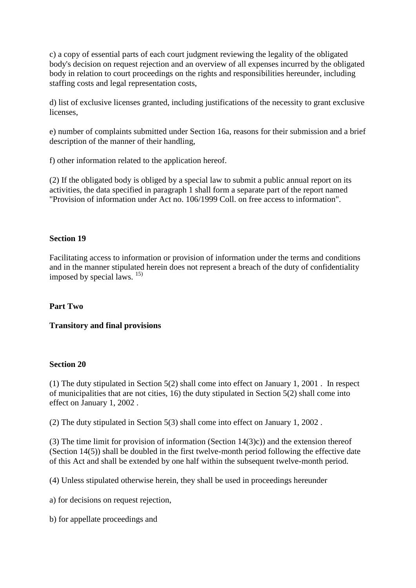c) a copy of essential parts of each court judgment reviewing the legality of the obligated body's decision on request rejection and an overview of all expenses incurred by the obligated body in relation to court proceedings on the rights and responsibilities hereunder, including staffing costs and legal representation costs,

d) list of exclusive licenses granted, including justifications of the necessity to grant exclusive licenses,

e) number of complaints submitted under Section 16a, reasons for their submission and a brief description of the manner of their handling,

f) other information related to the application hereof.

(2) If the obligated body is obliged by a special law to submit a public annual report on its activities, the data specified in paragraph 1 shall form a separate part of the report named "Provision of information under Act no. 106/1999 Coll. on free access to information".

## **Section 19**

Facilitating access to information or provision of information under the terms and conditions and in the manner stipulated herein does not represent a breach of the duty of confidentiality imposed by special laws. 15)

## **Part Two**

## **Transitory and final provisions**

#### **Section 20**

(1) The duty stipulated in Section 5(2) shall come into effect on January 1, 2001 . In respect of municipalities that are not cities, 16) the duty stipulated in Section 5(2) shall come into effect on January 1, 2002 .

(2) The duty stipulated in Section 5(3) shall come into effect on January 1, 2002 .

(3) The time limit for provision of information (Section 14(3)c)) and the extension thereof (Section 14(5)) shall be doubled in the first twelve-month period following the effective date of this Act and shall be extended by one half within the subsequent twelve-month period.

(4) Unless stipulated otherwise herein, they shall be used in proceedings hereunder

a) for decisions on request rejection,

b) for appellate proceedings and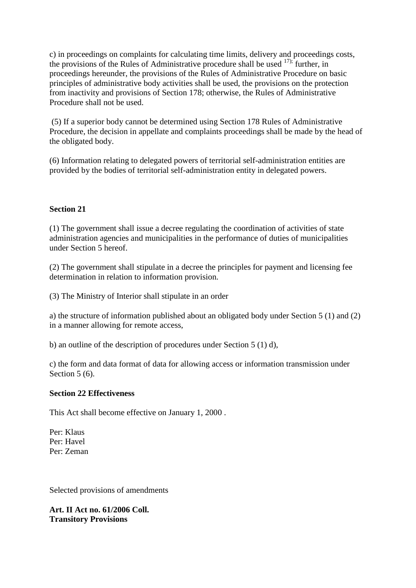c) in proceedings on complaints for calculating time limits, delivery and proceedings costs, the provisions of the Rules of Administrative procedure shall be used  $17$ ); further, in proceedings hereunder, the provisions of the Rules of Administrative Procedure on basic principles of administrative body activities shall be used, the provisions on the protection from inactivity and provisions of Section 178; otherwise, the Rules of Administrative Procedure shall not be used.

(5) If a superior body cannot be determined using Section 178 Rules of Administrative Procedure, the decision in appellate and complaints proceedings shall be made by the head of the obligated body.

(6) Information relating to delegated powers of territorial self-administration entities are provided by the bodies of territorial self-administration entity in delegated powers.

## **Section 21**

(1) The government shall issue a decree regulating the coordination of activities of state administration agencies and municipalities in the performance of duties of municipalities under Section 5 hereof.

(2) The government shall stipulate in a decree the principles for payment and licensing fee determination in relation to information provision.

(3) The Ministry of Interior shall stipulate in an order

a) the structure of information published about an obligated body under Section 5 (1) and (2) in a manner allowing for remote access,

b) an outline of the description of procedures under Section 5 (1) d),

c) the form and data format of data for allowing access or information transmission under Section 5 (6).

#### **Section 22 Effectiveness**

This Act shall become effective on January 1, 2000 .

Per: Klaus Per: Havel Per: Zeman

Selected provisions of amendments

**Art. II Act no. 61/2006 Coll. Transitory Provisions**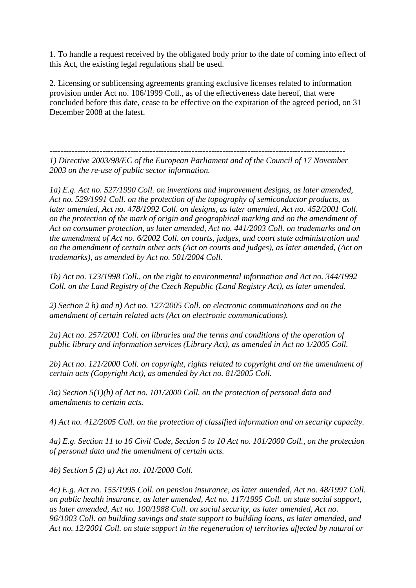1. To handle a request received by the obligated body prior to the date of coming into effect of this Act, the existing legal regulations shall be used.

2. Licensing or sublicensing agreements granting exclusive licenses related to information provision under Act no. 106/1999 Coll., as of the effectiveness date hereof, that were concluded before this date, cease to be effective on the expiration of the agreed period, on 31 December 2008 at the latest.

---------------------------------------------------------------------------------------------------------- *1) Directive 2003/98/EC of the European Parliament and of the Council of 17 November 2003 on the re-use of public sector information.* 

*1a) E.g. Act no. 527/1990 Coll. on inventions and improvement designs, as later amended, Act no. 529/1991 Coll. on the protection of the topography of semiconductor products, as later amended, Act no. 478/1992 Coll. on designs, as later amended, Act no. 452/2001 Coll. on the protection of the mark of origin and geographical marking and on the amendment of Act on consumer protection, as later amended, Act no. 441/2003 Coll. on trademarks and on the amendment of Act no. 6/2002 Coll. on courts, judges, and court state administration and on the amendment of certain other acts (Act on courts and judges), as later amended, (Act on trademarks), as amended by Act no. 501/2004 Coll.* 

*1b) Act no. 123/1998 Coll., on the right to environmental information and Act no. 344/1992 Coll. on the Land Registry of the Czech Republic (Land Registry Act), as later amended.* 

*2) Section 2 h) and n) Act no. 127/2005 Coll. on electronic communications and on the amendment of certain related acts (Act on electronic communications).* 

*2a) Act no. 257/2001 Coll. on libraries and the terms and conditions of the operation of public library and information services (Library Act), as amended in Act no 1/2005 Coll.* 

*2b) Act no. 121/2000 Coll. on copyright, rights related to copyright and on the amendment of certain acts (Copyright Act), as amended by Act no. 81/2005 Coll.* 

*3a) Section 5(1)(h) of Act no. 101/2000 Coll. on the protection of personal data and amendments to certain acts.* 

*4) Act no. 412/2005 Coll. on the protection of classified information and on security capacity.* 

*4a) E.g. Section 11 to 16 Civil Code, Section 5 to 10 Act no. 101/2000 Coll., on the protection of personal data and the amendment of certain acts.* 

*4b) Section 5 (2) a) Act no. 101/2000 Coll.* 

*4c) E.g. Act no. 155/1995 Coll. on pension insurance, as later amended, Act no. 48/1997 Coll. on public health insurance, as later amended, Act no. 117/1995 Coll. on state social support, as later amended, Act no. 100/1988 Coll. on social security, as later amended, Act no. 96/1003 Coll. on building savings and state support to building loans, as later amended, and Act no. 12/2001 Coll. on state support in the regeneration of territories affected by natural or*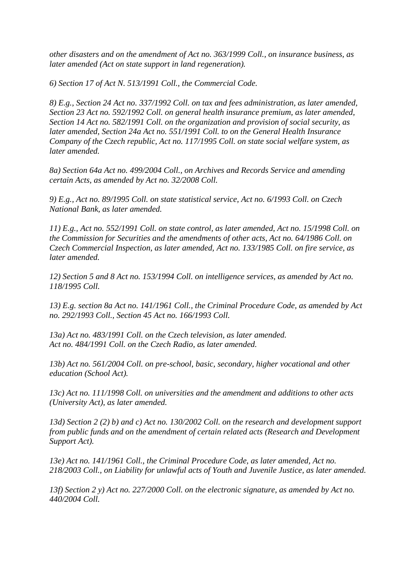*other disasters and on the amendment of Act no. 363/1999 Coll., on insurance business, as later amended (Act on state support in land regeneration).* 

*6) Section 17 of Act N. 513/1991 Coll., the Commercial Code.* 

*8) E.g., Section 24 Act no. 337/1992 Coll. on tax and fees administration, as later amended, Section 23 Act no. 592/1992 Coll. on general health insurance premium, as later amended, Section 14 Act no. 582/1991 Coll. on the organization and provision of social security, as later amended, Section 24a Act no. 551/1991 Coll. to on the General Health Insurance Company of the Czech republic, Act no. 117/1995 Coll. on state social welfare system, as later amended.* 

*8a) Section 64a Act no. 499/2004 Coll., on Archives and Records Service and amending certain Acts, as amended by Act no. 32/2008 Coll.*

*9) E.g., Act no. 89/1995 Coll. on state statistical service, Act no. 6/1993 Coll. on Czech National Bank, as later amended.* 

*11) E.g., Act no. 552/1991 Coll. on state control, as later amended, Act no. 15/1998 Coll. on the Commission for Securities and the amendments of other acts, Act no. 64/1986 Coll. on Czech Commercial Inspection, as later amended, Act no. 133/1985 Coll. on fire service, as later amended.*

*12) Section 5 and 8 Act no. 153/1994 Coll. on intelligence services, as amended by Act no. 118/1995 Coll.* 

*13) E.g. section 8a Act no. 141/1961 Coll., the Criminal Procedure Code, as amended by Act no. 292/1993 Coll., Section 45 Act no. 166/1993 Coll.* 

*13a) Act no. 483/1991 Coll. on the Czech television, as later amended. Act no. 484/1991 Coll. on the Czech Radio, as later amended.* 

*13b) Act no. 561/2004 Coll. on pre-school, basic, secondary, higher vocational and other education (School Act).* 

*13c) Act no. 111/1998 Coll. on universities and the amendment and additions to other acts (University Act), as later amended.* 

*13d) Section 2 (2) b) and c) Act no. 130/2002 Coll. on the research and development support from public funds and on the amendment of certain related acts (Research and Development Support Act).* 

*13e) Act no. 141/1961 Coll., the Criminal Procedure Code, as later amended, Act no. 218/2003 Coll., on Liability for unlawful acts of Youth and Juvenile Justice, as later amended.*

*13f) Section 2 y) Act no. 227/2000 Coll. on the electronic signature, as amended by Act no. 440/2004 Coll.*